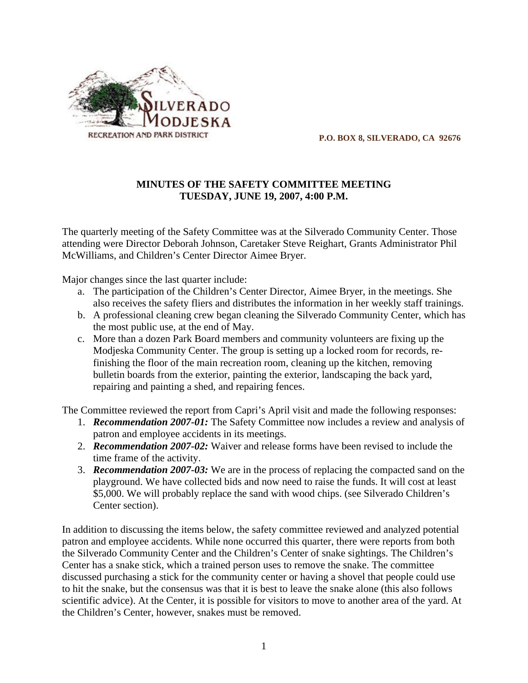

 **P.O. BOX 8, SILVERADO, CA 92676**

### **MINUTES OF THE SAFETY COMMITTEE MEETING TUESDAY, JUNE 19, 2007, 4:00 P.M.**

The quarterly meeting of the Safety Committee was at the Silverado Community Center. Those attending were Director Deborah Johnson, Caretaker Steve Reighart, Grants Administrator Phil McWilliams, and Children's Center Director Aimee Bryer.

Major changes since the last quarter include:

- a. The participation of the Children's Center Director, Aimee Bryer, in the meetings. She also receives the safety fliers and distributes the information in her weekly staff trainings.
- b. A professional cleaning crew began cleaning the Silverado Community Center, which has the most public use, at the end of May.
- c. More than a dozen Park Board members and community volunteers are fixing up the Modjeska Community Center. The group is setting up a locked room for records, refinishing the floor of the main recreation room, cleaning up the kitchen, removing bulletin boards from the exterior, painting the exterior, landscaping the back yard, repairing and painting a shed, and repairing fences.

The Committee reviewed the report from Capri's April visit and made the following responses:

- 1. *Recommendation 2007-01:* The Safety Committee now includes a review and analysis of patron and employee accidents in its meetings.
- 2. *Recommendation 2007-02:* Waiver and release forms have been revised to include the time frame of the activity.
- 3. *Recommendation 2007-03:* We are in the process of replacing the compacted sand on the playground. We have collected bids and now need to raise the funds. It will cost at least \$5,000. We will probably replace the sand with wood chips. (see Silverado Children's Center section).

In addition to discussing the items below, the safety committee reviewed and analyzed potential patron and employee accidents. While none occurred this quarter, there were reports from both the Silverado Community Center and the Children's Center of snake sightings. The Children's Center has a snake stick, which a trained person uses to remove the snake. The committee discussed purchasing a stick for the community center or having a shovel that people could use to hit the snake, but the consensus was that it is best to leave the snake alone (this also follows scientific advice). At the Center, it is possible for visitors to move to another area of the yard. At the Children's Center, however, snakes must be removed.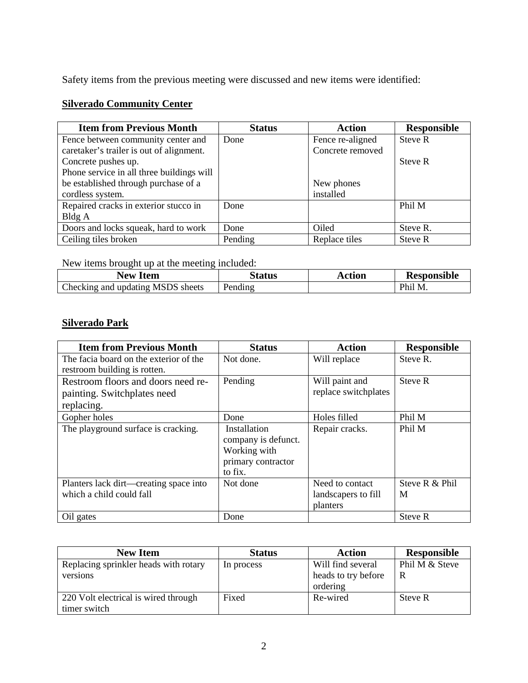Safety items from the previous meeting were discussed and new items were identified:

### **Silverado Community Center**

| <b>Item from Previous Month</b>           | <b>Status</b> | <b>Action</b>    | <b>Responsible</b> |
|-------------------------------------------|---------------|------------------|--------------------|
| Fence between community center and        | Done          | Fence re-aligned | Steve R            |
| caretaker's trailer is out of alignment.  |               | Concrete removed |                    |
| Concrete pushes up.                       |               |                  | Steve R            |
| Phone service in all three buildings will |               |                  |                    |
| be established through purchase of a      |               | New phones       |                    |
| cordless system.                          |               | installed        |                    |
| Repaired cracks in exterior stucco in     | Done          |                  | Phil M             |
| Bldg A                                    |               |                  |                    |
| Doors and locks squeak, hard to work      | Done          | Oiled            | Steve R.           |
| Ceiling tiles broken                      | Pending       | Replace tiles    | Steve R            |

New items brought up at the meeting included:

| <b>Item</b><br>New                                  | <sup>S</sup> tatus | Action | <b>Responsible</b> |
|-----------------------------------------------------|--------------------|--------|--------------------|
| Checking and<br><b>MSDS</b><br>sheets<br>. undatıng | Pending            |        | Phil M<br>TAT.     |

# **Silverado Park**

| <b>Item from Previous Month</b>        | <b>Status</b>                       | <b>Action</b>        | <b>Responsible</b> |
|----------------------------------------|-------------------------------------|----------------------|--------------------|
| The facia board on the exterior of the | Not done.                           | Will replace         | Steve R.           |
| restroom building is rotten.           |                                     |                      |                    |
| Restroom floors and doors need re-     | Pending                             | Will paint and       | Steve R            |
| painting. Switchplates need            |                                     | replace switchplates |                    |
| replacing.                             |                                     |                      |                    |
| Gopher holes                           | Done                                | Holes filled         | Phil M             |
| The playground surface is cracking.    | Installation<br>company is defunct. | Repair cracks.       | Phil M             |
|                                        | Working with                        |                      |                    |
|                                        | primary contractor                  |                      |                    |
|                                        | to fix.                             |                      |                    |
| Planters lack dirt—creating space into | Not done                            | Need to contact      | Steve R & Phil     |
| which a child could fall               |                                     | landscapers to fill  | M                  |
|                                        |                                     | planters             |                    |
| Oil gates                              | Done                                |                      | Steve R            |

| <b>New Item</b>                       | <b>Status</b> | <b>Action</b>       | <b>Responsible</b> |
|---------------------------------------|---------------|---------------------|--------------------|
| Replacing sprinkler heads with rotary | In process    | Will find several   | Phil M & Steve     |
| versions                              |               | heads to try before | R                  |
|                                       |               | ordering            |                    |
| 220 Volt electrical is wired through  | Fixed         | Re-wired            | Steve R            |
| timer switch                          |               |                     |                    |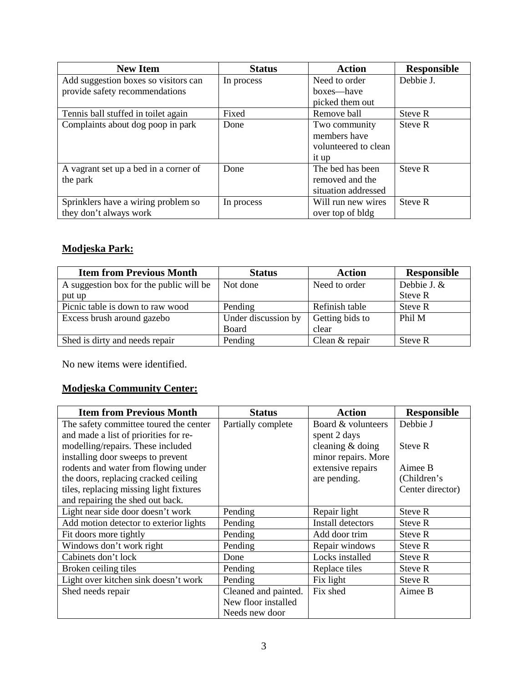| <b>New Item</b>                       | <b>Status</b> | <b>Action</b>        | <b>Responsible</b> |
|---------------------------------------|---------------|----------------------|--------------------|
| Add suggestion boxes so visitors can  | In process    | Need to order        | Debbie J.          |
| provide safety recommendations        |               | boxes—have           |                    |
|                                       |               | picked them out      |                    |
| Tennis ball stuffed in toilet again   | Fixed         | Remove ball          | Steve R            |
| Complaints about dog poop in park     | Done          | Two community        | Steve R            |
|                                       |               | members have         |                    |
|                                       |               | volunteered to clean |                    |
|                                       |               | it up                |                    |
| A vagrant set up a bed in a corner of | Done          | The bed has been     | Steve R            |
| the park                              |               | removed and the      |                    |
|                                       |               | situation addressed  |                    |
| Sprinklers have a wiring problem so   | In process    | Will run new wires   | Steve R            |
| they don't always work                |               | over top of bldg     |                    |

# **Modjeska Park:**

| <b>Item from Previous Month</b>         | <b>Status</b>       | <b>Action</b>   | <b>Responsible</b> |
|-----------------------------------------|---------------------|-----------------|--------------------|
| A suggestion box for the public will be | Not done            | Need to order   | Debbie J. &        |
| put up                                  |                     |                 | Steve R            |
| Picnic table is down to raw wood        | Pending             | Refinish table  | Steve R            |
| Excess brush around gazebo              | Under discussion by | Getting bids to | Phil M             |
|                                         | Board               | clear           |                    |
| Shed is dirty and needs repair          | Pending             | Clean & repair  | Steve R            |

No new items were identified.

# **Modjeska Community Center:**

| <b>Item from Previous Month</b>         | <b>Status</b>        | <b>Action</b>       | <b>Responsible</b> |
|-----------------------------------------|----------------------|---------------------|--------------------|
| The safety committee toured the center  | Partially complete   | Board & volunteers  | Debbie J           |
| and made a list of priorities for re-   |                      | spent 2 days        |                    |
| modelling/repairs. These included       |                      | cleaning $&$ doing  | Steve R            |
| installing door sweeps to prevent       |                      | minor repairs. More |                    |
| rodents and water from flowing under    |                      | extensive repairs   | Aimee B            |
| the doors, replacing cracked ceiling    |                      | are pending.        | (Children's        |
| tiles, replacing missing light fixtures |                      |                     | Center director)   |
| and repairing the shed out back.        |                      |                     |                    |
| Light near side door doesn't work       | Pending              | Repair light        | Steve R            |
| Add motion detector to exterior lights  | Pending              | Install detectors   | <b>Steve R</b>     |
| Fit doors more tightly                  | Pending              | Add door trim       | <b>Steve R</b>     |
| Windows don't work right                | Pending              | Repair windows      | Steve R            |
| Cabinets don't lock                     | Done                 | Locks installed     | Steve R            |
| Broken ceiling tiles                    | Pending              | Replace tiles       | Steve R            |
| Light over kitchen sink doesn't work    | Pending              | Fix light           | Steve R            |
| Shed needs repair                       | Cleaned and painted. | Fix shed            | Aimee B            |
|                                         | New floor installed  |                     |                    |
|                                         | Needs new door       |                     |                    |